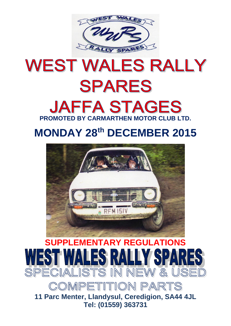

# **WEST WALES RALLY SPARES JAFFA STAGES PROMOTED BY CARMARTHEN MOTOR CLUB LTD.**

## **MONDAY 28th DECEMBER 2015**





COMPETITION PARTS

**11 Parc Menter, Llandysul, Ceredigion, SA44 4JL Tel: (01559) 363731**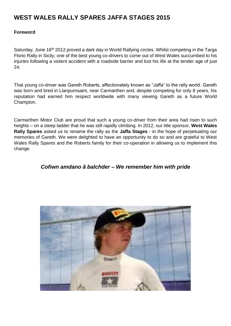### **WEST WALES RALLY SPARES JAFFA STAGES 2015**

#### **Foreword**

Saturday, June 16<sup>th</sup> 2012 proved a dark day in World Rallying circles. Whilst competing in the Targa Florio Rally in Sicily, one of the best young co-drivers to come out of West Wales succumbed to his injuries following a violent accident with a roadside barrier and lost his life at the tender age of just 24.

That young co-driver was Gareth Roberts, affectionately known as "Jaffa" to the rally world. Gareth was born and bred in Llanpumsaint, near Carmarthen and, despite competing for only 8 years, his reputation had earned him respect worldwide with many viewing Gareth as a future World Champion.

Carmarthen Motor Club are proud that such a young co-driver from their area had risen to such heights – on a steep ladder that he was still rapidly climbing. In 2012, our title sponsor, **West Wales Rally Spares** asked us to rename the rally as the **Jaffa Stages** - in the hope of perpetuating our memories of Gareth. We were delighted to have an opportunity to do so and are grateful to West Wales Rally Spares and the Roberts family for their co-operation in allowing us to implement this change.

#### *Cofiwn amdano â balchder – We remember him with pride*

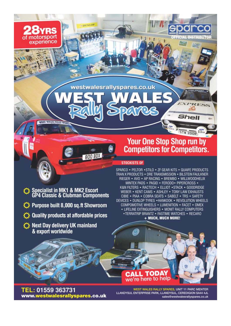westwalesrallyspares.co.uk

## **Your One Stop Shop run by Competitors for Competitors.**

**STRIRUTOR** 

RESS

**Shell** 

STW 200R

#### **STOCKISTS OF**

SPARCO . PELTOR . STILO . ZF GEAR KITS . QUAIFE PRODUCTS TRAN X PRODUCTS . DRE TRANSMISSION . BILSTEIN FAULKNER RIEGER • AVO • AP RACING • BREMBO • WILLWOODHELIX MINTEX PADS . PAGID . FERODO . PIPERCROSS . K&N FILTERS . RACTECH . ELLIOT . STACK . GOODRIDGE WEBER • KENT CAMS • ASHLEY • TONY LAW EXHAUSTS CIBIE . PIAA . COBRA SEATS . SABELT . TRS . SAFETY DEVICES . DUNLOP TYRES . HANKOOK . REVOLUTION WHEELS COMPOMOTIVE WHEELS . LUMENITION . FACET . OMEX • LIFELINE EXTINGUISHERS • MONIT RALLY COMPUTERS • TERRATRIP BRANTZ • FASTIME WATCHES • RECARO + MUCH, MUCH MORE!

Specialist in MK1 & MK2 Escort<br>GP4 Classic & Clubman Components

800 BD

motorsport

experience

**ULEST VIEW** 

- Purpose built 8,000 sq.ft Showroom
- Quality products at affordable prices
- Next Day delivery UK mainland & export worldwide

TEL: 01559 363731 www.westwalesrallyspares.co.uk

WEST WALES RALLY SPARES, UNIT 11 PARC MENTER LLANDYSUL ENTERPRISE PARK, LLANDYSUL, CEREDIGION SA44 4JL sales@westwalesrallyspares.co.uk

we're here to help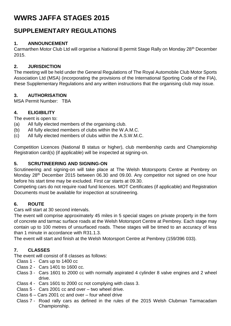## **WWRS JAFFA STAGES 2015**

## **SUPPLEMENTARY REGULATIONS**

#### **1. ANNOUNCEMENT**

Carmarthen Motor Club Ltd will organise a National B permit Stage Rally on Monday 28th December 2015.

#### **2. JURISDICTION**

The meeting will be held under the General Regulations of The Royal Automobile Club Motor Sports Association Ltd (MSA) (incorporating the provisions of the International Sporting Code of the FIA), these Supplementary Regulations and any written instructions that the organising club may issue.

#### **3. AUTHORISATION**

MSA Permit Number: TBA

#### **4. ELIGIBILITY**

The event is open to:

- (a) All fully elected members of the organising club.
- (b) All fully elected members of clubs within the W.A.M.C.
- (c) All fully elected members of clubs within the A.S.W.M.C.

Competition Licences (National B status or higher), club membership cards and Championship Registration card(s) (if applicable) will be inspected at signing-on.

#### **5. SCRUTINEERING AND SIGNING-ON**

Scrutineering and signing-on will take place at The Welsh Motorsports Centre at Pembrey on Monday 28<sup>th</sup> December 2015 between 06.30 and 09.00. Any competitor not signed on one hour before his start time may be excluded. First car starts at 09.30.

Competing cars do not require road fund licences. MOT Certificates (if applicable) and Registration Documents must be available for inspection at scrutineering.

#### **6. ROUTE**

Cars will start at 30 second intervals.

The event will comprise approximately 45 miles in 5 special stages on private property in the form of concrete and tarmac surface roads at the Welsh Motorsport Centre at Pembrey. Each stage may contain up to 100 metres of unsurfaced roads. These stages will be timed to an accuracy of less than 1 minute in accordance with R31.1.3.

The event will start and finish at the Welsh Motorsport Centre at Pembrey (159/396 033).

#### **7. CLASSES**

The event will consist of 8 classes as follows:

- Class 1 Cars up to 1400 cc
- Class 2 Cars 1401 to 1600 cc.
- Class 3 Cars 1601 to 2000 cc with normally aspirated 4 cylinder 8 valve engines and 2 wheel drive.
- Class 4 Cars 1601 to 2000 cc not complying with class 3.
- Class 5 Cars 2001 cc and over two wheel drive.
- Class 6 Cars 2001 cc and over four wheel drive
- Class 7 Road rally cars as defined in the rules of the 2015 Welsh Clubman Tarmacadam Championship.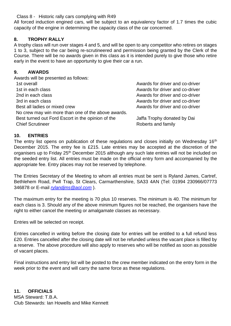Class 8 - Historic rally cars complying with R49

All forced induction engined cars, will be subject to an equivalency factor of 1.7 times the cubic capacity of the engine in determining the capacity class of the car concerned.

#### **8. TROPHY RALLY**

A trophy class will run over stages 4 and 5, and will be open to any competitor who retires on stages 1 to 3, subject to the car being re-scrutineered and permission being granted by the Clerk of the Course. There will be no awards given in this class as it is intended purely to give those who retire early in the event to have an opportunity to give their car a run.

#### **9. AWARDS**

| Awards will be presented as follows:                                         |                                                   |
|------------------------------------------------------------------------------|---------------------------------------------------|
| 1st overall                                                                  | Awards for driver and co-driver                   |
| 1st in each class                                                            | Awards for driver and co-driver                   |
| 2nd in each class                                                            | Awards for driver and co-driver                   |
| 3rd in each class                                                            | Awards for driver and co-driver                   |
| Best all ladies or mixed crew                                                | Awards for driver and co-driver                   |
| No crew may win more than one of the above awards.                           |                                                   |
| Best turned out Ford Escort in the opinion of the<br><b>Chief Scrutineer</b> | Jaffa Trophy donated by Dai<br>Roberts and family |

#### **10. ENTRIES**

The entry list opens on publication of these regulations and closes initially on Wednesday 16<sup>th</sup> December 2015. The entry fee is £215. Late entries may be accepted at the discretion of the organisers up to Friday 25<sup>th</sup> December 2015 although any such late entries will not be included on the seeded entry list. All entries must be made on the official entry form and accompanied by the appropriate fee. Entry places may not be reserved by telephone.

The Entries Secretary of the Meeting to whom all entries must be sent is Ryland James, Cartref, Bethlehem Road, Pwll Trap, St Clears, Carmarthenshire, SA33 4AN (Tel: 01994 230966/07773 346878 or E-mail *[rylandjms@aol.com](mailto:rylandjms@aol.com)* ).

The maximum entry for the meeting is 70 plus 10 reserves. The minimum is 40. The minimum for each class is 3. Should any of the above minimum figures not be reached, the organisers have the right to either cancel the meeting or amalgamate classes as necessary.

Entries will be selected on receipt.

Entries cancelled in writing before the closing date for entries will be entitled to a full refund less £20. Entries cancelled after the closing date will not be refunded unless the vacant place is filled by a reserve. The above procedure will also apply to reserves who will be notified as soon as possible of vacant places.

Final instructions and entry list will be posted to the crew member indicated on the entry form in the week prior to the event and will carry the same force as these regulations.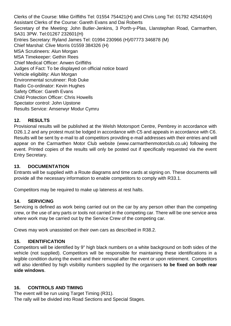Clerks of the Course: Mike Griffiths Tel: 01554 754421(H) and Chris Long Tel: 01792 425416(H) Assistant Clerks of the Course: Gareth Evans and Dai Roberts Secretary of the Meeting: John Butler-Jenkins, 3 Porth-y-Plas, Llanstephan Road, Carmarthen, SA31 3PW. Tel:01267 232601(H) Entries Secretary: Ryland James Tel: 01994 230966 (H)/07773 346878 (M) Chief Marshal: Clive Morris 01559 384326 (H) MSA Scrutineers: Alun Morgan MSA Timekeeper: Gethin Rees Chief Medical Officer: Anwen Griffiths Judges of Fact: To be displayed on official notice board Vehicle eligibility: Alun Morgan Environmental scrutineer: Rob Duke Radio Co-ordinator: Kevin Hughes Safety Officer: Gareth Evans Child Protection Officer: Chris Howells Spectator control: John Upstone Results Service: Amserwyr Modur Cymru

#### **12. RESULTS**

Provisional results will be published at the Welsh Motorsport Centre, Pembrey in accordance with D26.1.2 and any protest must be lodged in accordance with C5 and appeals in accordance with C6. Results will be sent by e-mail to all competitors providing e-mail addresses with their entries and will appear on the Carmarthen Motor Club website (www.carmarthenmotorclub.co.uk) following the event. Printed copies of the results will only be posted out if specifically requested via the event Entry Secretary.

#### **13. DOCUMENTATION**

Entrants will be supplied with a Route diagrams and time cards at signing on. These documents will provide all the necessary information to enable competitors to comply with R33.1.

Competitors may be required to make up lateness at rest halts.

#### **14. SERVICING**

Servicing is defined as work being carried out on the car by any person other than the competing crew, or the use of any parts or tools not carried in the competing car. There will be one service area where work may be carried out by the Service Crew of the competing car.

Crews may work unassisted on their own cars as described in R38.2.

#### **15. IDENTIFICATION**

Competitors will be identified by 9" high black numbers on a white background on both sides of the vehicle (not supplied). Competitors will be responsible for maintaining these identifications in a legible condition during the event and their removal after the event or upon retirement. Competitors will also identified by high visibility numbers supplied by the organisers **to be fixed on both rear side windows**.

#### **16. CONTROLS AND TIMING**

The event will be run using Target Timing (R31). The rally will be divided into Road Sections and Special Stages.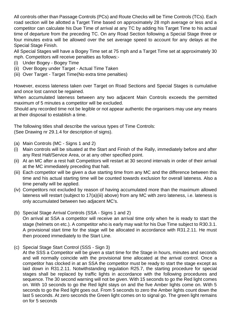All controls other than Passage Controls (PCs) and Route Checks will be Time Controls (TCs). Each road section will be allotted a Target Time based on approximately 28 mph average or less and a competitor can calculate his Due Time of arrival at any TC by adding his Target Time to his actual time of departure from the preceding TC. On any Road Section following a Special Stage three or four minutes extra will be allowed over the set average speed to account for any delays at the Special Stage Finish.

All Special Stages will have a Bogey Time set at 75 mph and a Target Time set at approximately 30 mph. Competitors will receive penalties as follows:-

- (i) Under Bogey Bogey Time
- (ii) Over Bogey under Target Actual Time Taken
- (iii) Over Target Target Time(No extra time penalties)

However, excess lateness taken over Target on Road Sections and Special Stages is cumulative and once lost cannot be regained.

When accumulated lateness between any two adjacent Main Controls exceeds the permitted maximum of 5 minutes a competitor will be excluded.

Should any recorded time not be legible or not appear authentic the organisers may use any means at their disposal to establish a time.

The following titles shall describe the various types of Time Controls: (See Drawing nr 29.1.4 for description of signs).

- (a) Main Controls (MC Signs 1 and 2)
- (i) Main controls will be situated at the Start and Finish of the Rally, immediately before and after any Rest Halt/Service Area, or at any other specified point.
- (ii) At an MC after a rest halt Competitors will restart at 30 second intervals in order of their arrival at the MC immediately preceding that halt.
- (iii) Each competitor will be given a due starting time from any MC and the difference between this time and his actual starting time will be counted towards exclusion for overall lateness. Also a time penalty will be applied.
- (iv) Competitors not excluded by reason of having accumulated more than the maximum allowed lateness will restart (subject to 17(a)(iii) above) from any MC with zero lateness, i.e. lateness is only accumulated between two adjacent MC's.
- (b) Special Stage Arrival Controls (SSA Signs 1 and 2)

On arrival at SSA a competitor will receive an arrival time only when he is ready to start the stage (helmets on etc.). A competitor who is early may wait for his Due Time subject to R30.3.1. A provisional start time for the stage will be allocated in accordance with R31.2.11. He must then proceed immediately to the Start Line.

(c) Special Stage Start Control (SSS - Sign 3)

At the SSS a Competitor will be given a start time for the Stage in hours, minutes and seconds and will normally coincide with the provisional time allocated at the arrival control. Once a competitor has clocked in at an SSA the competitor must be ready to start the stage except as laid down in R31.2.11. Notwithstanding regulation R25.7, the starting procedure for special stages shall be replaced by traffic lights in accordance with the following procedures and sequence. The 30 second warning will not be given. With 15 seconds to go the Red light comes on. With 10 seconds to go the Red light stays on and the five Amber lights come on. With 5 seconds to go the Red light goes out. From 5 seconds to zero the Amber lights count down the last 5 seconds. At zero seconds the Green light comes on to signal go. The green light remains on for 5 seconds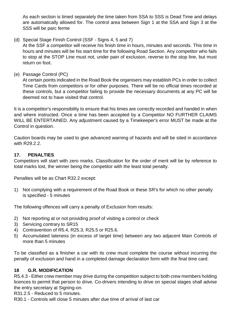As each section is timed separately the time taken from SSA to SSS is Dead Time and delays are automatically allowed for. The control area between Sign 1 at the SSA and Sign 3 at the SSS will be parc ferme

(d) Special Stage Finish Control (SSF - Signs 4, 5 and 7)

At the SSF a competitor will receive his finish time in hours, minutes and seconds. This time in hours and minutes will be his start time for the following Road Section. Any competitor who fails to stop at the STOP Line must not, under pain of exclusion, reverse to the stop line, but must return on foot.

(e) Passage Control (PC)

At certain points indicated in the Road Book the organisers may establish PCs in order to collect Time Cards from competitors or for other purposes. There will be no official times recorded at these controls, but a competitor failing to provide the necessary documents at any PC will be deemed not to have visited that control.

It is a competitor's responsibility to ensure that his times are correctly recorded and handed in when and where instructed. Once a time has been accepted by a Competitor NO FURTHER CLAIMS WILL BE ENTERTAINED. Any adjustment caused by a Timekeeper's error MUST be made at the Control in question.

Caution boards may be used to give advanced warning of hazards and will be sited in accordance with R29.2.2.

#### **17. PENALTIES**

Competitors will start with zero marks. Classification for the order of merit will be by reference to total marks lost, the winner being the competitor with the least total penalty.

Penalties will be as Chart R32.2 except:

1) Not complying with a requirement of the Road Book or these SR's for which no other penalty is specified - 5 minutes

The following offences will carry a penalty of Exclusion from results:

- 2) Not reporting at or not providing proof of visiting a control or check
- 3) Servicing contrary to SR15
- 4) Contravention of R5.4, R25.3, R25.5 or R25.6.
- 5) Accumulated lateness (in excess of target time) between any two adjacent Main Controls of more than 5 minutes

To be classified as a finisher a car with its crew must complete the course without incurring the penalty of exclusion and hand in a completed damage declaration form with the final time card.

#### **18 G.R. MODIFICATION**

R5.4.3 - Either crew member may drive during the competition subject to both crew members holding licences to permit that person to drive. Co-drivers intending to drive on special stages shall advise the entry secretary at Signing-on.

R31.2.5 - Reduced to 5 minutes.

R30.1 - Controls will close 5 minutes after due time of arrival of last car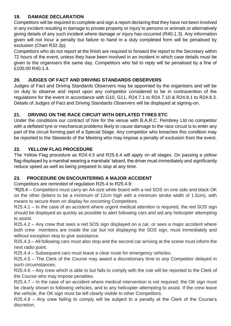#### **19. DAMAGE DECLARATION**

Competitors will be required to complete and sign a report declaring that they have not been involved in any incident resulting in damage to private property or injury to persons or animals or alternatively giving details of any such incident where damage or injury has occurred (R40.1.3). Any information given will not incur a penalty but failure to hand in a duly completed form will be penalised by exclusion (Chart R32.2p).

Competitors who do not report at the finish are required to forward the report to the Secretary within 72 hours of the event, unless they have been involved in an incident in which case details must be given to the organisers the same day. Competitors who fail to reply will be penalised by a fine of £100.00 R40.1.4.

#### **20. JUDGES OF FACT AND DRIVING STANDARDS OBSERVERS**

Judges of Fact and Driving Standards Observers may be appointed by the organisers and will be on duty to observe and report upon any competitor considered to be in contravention of the regulations for the event in accordance with G10, G11, R24.7.1 to R24.7.10 & R24.8.1 to R24.8.3. Details of Judges of Fact and Driving Standards Observers will be displayed at signing-on.

#### **21. DRIVING ON THE RACE CIRCUIT WITH DEFLATED TYRES ETC**

Under the conditions our contract of hire for the venue with B.A.R.C. Pembrey Ltd no competitor with a deflated tyre or mechanical problems likely to cause damage to the race circuit is to enter any part of the circuit forming part of a Special Stage. Any competitor who breaches this condition may be reported to the Stewards of the Meeting who may impose a penalty of exclusion from the event.

#### **22. YELLOW FLAG PROCEDURE**

The Yellow Flag procedure as R24.4.5 and R25.6.4 will apply on all stages. On passing a yellow flag displayed by a marshal wearing a marshals' tabard, the driver must immediately and significantly reduce speed as well as being prepared to stop at any time.

#### **23. PROCEDURE ON ENCOUNTERING A MAJOR ACCIDENT**

Competitors are reminded of regulation R25.4 to R25.4.9:

"R25.4 – Competitors must carry an A4-size white board with a red SOS on one side and black OK on the other (letters to be a minimum of 12cm high with a minimum stroke width of 1.5cm), with means to secure them on display for oncoming Competitors.

R25.4.1 – In the case of an accident where urgent medical attention is required, the red SOS sign should be displayed as quickly as possible to alert following cars and aid any helicopter attempting to assist.

R25.4.2 – Any crew that sees a red SOS sign displayed on a car, or sees a major accident where both crew members are inside the car but not displaying the SOS sign, must immediately and without exception stop to give assistance.

R25.4.3 – All following cars must also stop and the second car arriving at the scene must inform the next radio point.

R25.4.4 – Subsequent cars must leave a clear route for emergency vehicles.

R25.4.5 – The Clerk of the Course may award a discretionary time to any Competitor delayed in such circumstances.

R25.4.6 – Any crew which is able to but fails to comply with the rule will be reported to the Clerk of the Course who may impose penalties.

R25.4.7 – In the case of an accident where medical intervention is not required, the OK sign must be clearly shown to following vehicles, and to any helicopter attempting to assist. If the crew leave the vehicle, the OK sign must be left clearly visible to other Competitors.

R25.4.8 – Any crew failing to comply will be subject to a penalty at the Clerk of the Course's discretion.